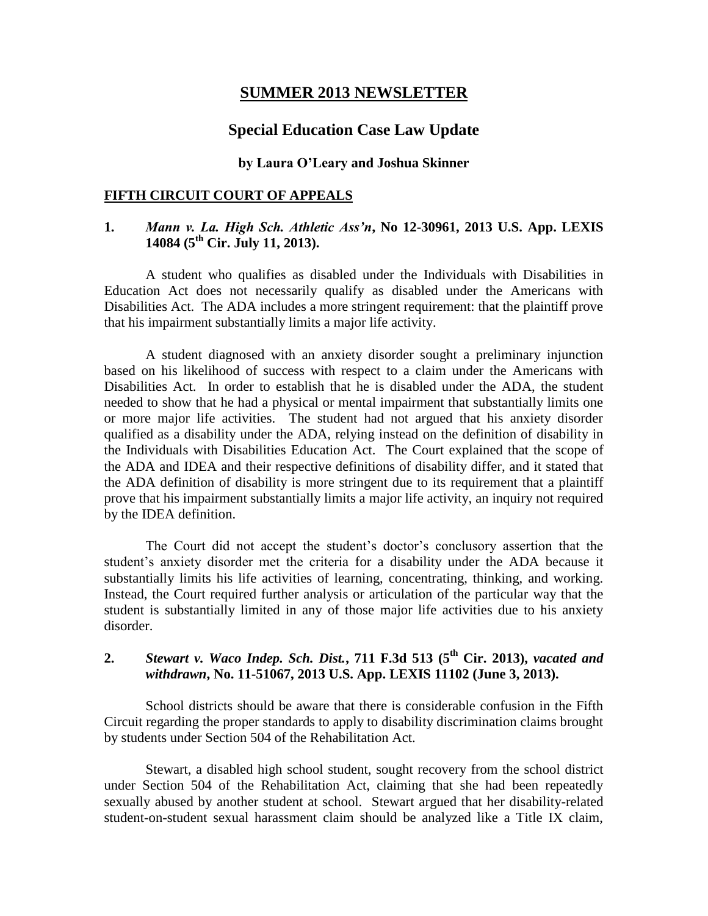## **SUMMER 2013 NEWSLETTER**

## **Special Education Case Law Update**

#### **by Laura O'Leary and Joshua Skinner**

#### **FIFTH CIRCUIT COURT OF APPEALS**

### **1.** *Mann v. La. High Sch. Athletic Ass'n***, No 12-30961, 2013 U.S. App. LEXIS 14084 (5th Cir. July 11, 2013).**

A student who qualifies as disabled under the Individuals with Disabilities in Education Act does not necessarily qualify as disabled under the Americans with Disabilities Act. The ADA includes a more stringent requirement: that the plaintiff prove that his impairment substantially limits a major life activity.

A student diagnosed with an anxiety disorder sought a preliminary injunction based on his likelihood of success with respect to a claim under the Americans with Disabilities Act. In order to establish that he is disabled under the ADA, the student needed to show that he had a physical or mental impairment that substantially limits one or more major life activities. The student had not argued that his anxiety disorder qualified as a disability under the ADA, relying instead on the definition of disability in the Individuals with Disabilities Education Act. The Court explained that the scope of the ADA and IDEA and their respective definitions of disability differ, and it stated that the ADA definition of disability is more stringent due to its requirement that a plaintiff prove that his impairment substantially limits a major life activity, an inquiry not required by the IDEA definition.

The Court did not accept the student's doctor's conclusory assertion that the student's anxiety disorder met the criteria for a disability under the ADA because it substantially limits his life activities of learning, concentrating, thinking, and working. Instead, the Court required further analysis or articulation of the particular way that the student is substantially limited in any of those major life activities due to his anxiety disorder.

# **2.** *Stewart v. Waco Indep. Sch. Dist.***, 711 F.3d 513 (5th Cir. 2013),** *vacated and withdrawn***, No. 11-51067, 2013 U.S. App. LEXIS 11102 (June 3, 2013).**

School districts should be aware that there is considerable confusion in the Fifth Circuit regarding the proper standards to apply to disability discrimination claims brought by students under Section 504 of the Rehabilitation Act.

Stewart, a disabled high school student, sought recovery from the school district under Section 504 of the Rehabilitation Act, claiming that she had been repeatedly sexually abused by another student at school. Stewart argued that her disability-related student-on-student sexual harassment claim should be analyzed like a Title IX claim,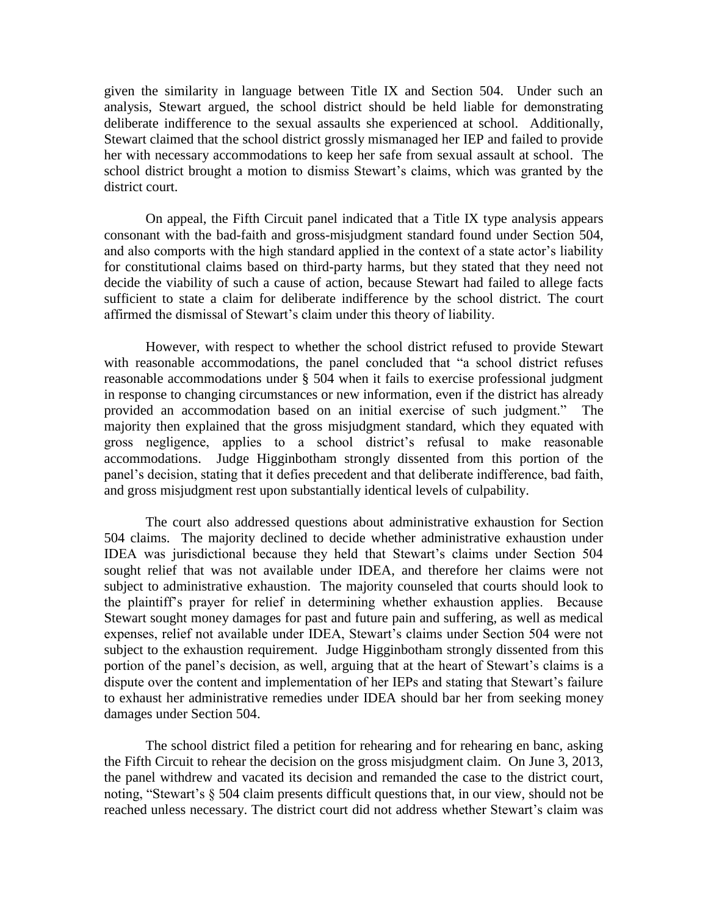given the similarity in language between Title IX and Section 504. Under such an analysis, Stewart argued, the school district should be held liable for demonstrating deliberate indifference to the sexual assaults she experienced at school. Additionally, Stewart claimed that the school district grossly mismanaged her IEP and failed to provide her with necessary accommodations to keep her safe from sexual assault at school. The school district brought a motion to dismiss Stewart's claims, which was granted by the district court.

On appeal, the Fifth Circuit panel indicated that a Title IX type analysis appears consonant with the bad-faith and gross-misjudgment standard found under Section 504, and also comports with the high standard applied in the context of a state actor's liability for constitutional claims based on third-party harms, but they stated that they need not decide the viability of such a cause of action, because Stewart had failed to allege facts sufficient to state a claim for deliberate indifference by the school district. The court affirmed the dismissal of Stewart's claim under this theory of liability.

However, with respect to whether the school district refused to provide Stewart with reasonable accommodations, the panel concluded that "a school district refuses reasonable accommodations under § 504 when it fails to exercise professional judgment in response to changing circumstances or new information, even if the district has already provided an accommodation based on an initial exercise of such judgment." The majority then explained that the gross misjudgment standard, which they equated with gross negligence, applies to a school district's refusal to make reasonable accommodations. Judge Higginbotham strongly dissented from this portion of the panel's decision, stating that it defies precedent and that deliberate indifference, bad faith, and gross misjudgment rest upon substantially identical levels of culpability.

The court also addressed questions about administrative exhaustion for Section 504 claims. The majority declined to decide whether administrative exhaustion under IDEA was jurisdictional because they held that Stewart's claims under Section 504 sought relief that was not available under IDEA, and therefore her claims were not subject to administrative exhaustion. The majority counseled that courts should look to the plaintiff's prayer for relief in determining whether exhaustion applies. Because Stewart sought money damages for past and future pain and suffering, as well as medical expenses, relief not available under IDEA, Stewart's claims under Section 504 were not subject to the exhaustion requirement. Judge Higginbotham strongly dissented from this portion of the panel's decision, as well, arguing that at the heart of Stewart's claims is a dispute over the content and implementation of her IEPs and stating that Stewart's failure to exhaust her administrative remedies under IDEA should bar her from seeking money damages under Section 504.

The school district filed a petition for rehearing and for rehearing en banc, asking the Fifth Circuit to rehear the decision on the gross misjudgment claim. On June 3, 2013, the panel withdrew and vacated its decision and remanded the case to the district court, noting, "Stewart's § 504 claim presents difficult questions that, in our view, should not be reached unless necessary. The district court did not address whether Stewart's claim was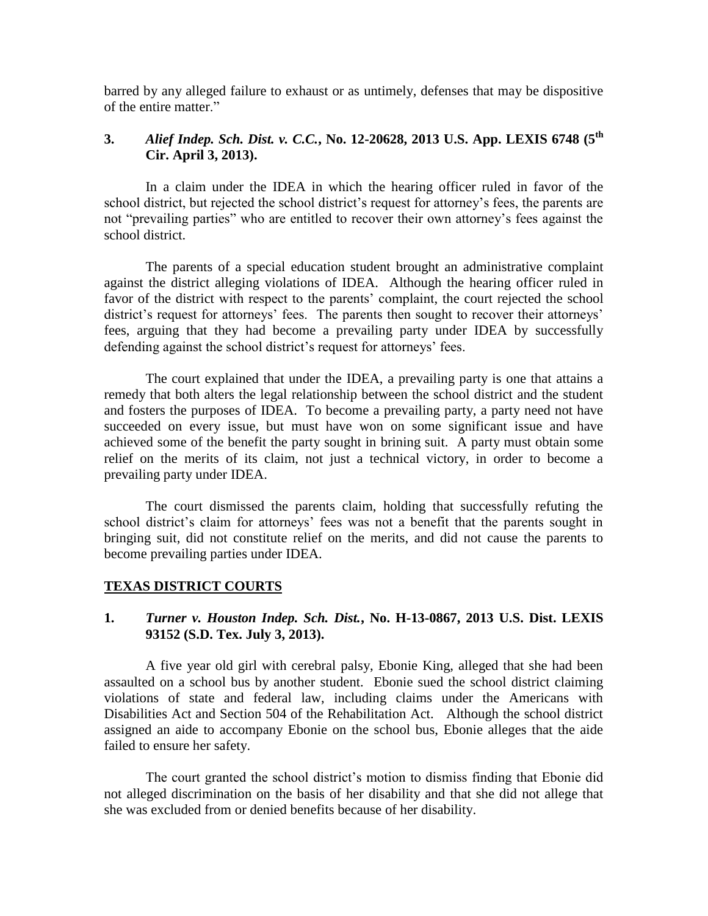barred by any alleged failure to exhaust or as untimely, defenses that may be dispositive of the entire matter."

# **3.** *Alief Indep. Sch. Dist. v. C.C.***, No. 12-20628, 2013 U.S. App. LEXIS 6748 (5th Cir. April 3, 2013).**

In a claim under the IDEA in which the hearing officer ruled in favor of the school district, but rejected the school district's request for attorney's fees, the parents are not "prevailing parties" who are entitled to recover their own attorney's fees against the school district.

The parents of a special education student brought an administrative complaint against the district alleging violations of IDEA. Although the hearing officer ruled in favor of the district with respect to the parents' complaint, the court rejected the school district's request for attorneys' fees. The parents then sought to recover their attorneys' fees, arguing that they had become a prevailing party under IDEA by successfully defending against the school district's request for attorneys' fees.

The court explained that under the IDEA, a prevailing party is one that attains a remedy that both alters the legal relationship between the school district and the student and fosters the purposes of IDEA. To become a prevailing party, a party need not have succeeded on every issue, but must have won on some significant issue and have achieved some of the benefit the party sought in brining suit. A party must obtain some relief on the merits of its claim, not just a technical victory, in order to become a prevailing party under IDEA.

The court dismissed the parents claim, holding that successfully refuting the school district's claim for attorneys' fees was not a benefit that the parents sought in bringing suit, did not constitute relief on the merits, and did not cause the parents to become prevailing parties under IDEA.

### **TEXAS DISTRICT COURTS**

### **1.** *Turner v. Houston Indep. Sch. Dist.***, No. H-13-0867, 2013 U.S. Dist. LEXIS 93152 (S.D. Tex. July 3, 2013).**

A five year old girl with cerebral palsy, Ebonie King, alleged that she had been assaulted on a school bus by another student. Ebonie sued the school district claiming violations of state and federal law, including claims under the Americans with Disabilities Act and Section 504 of the Rehabilitation Act. Although the school district assigned an aide to accompany Ebonie on the school bus, Ebonie alleges that the aide failed to ensure her safety.

The court granted the school district's motion to dismiss finding that Ebonie did not alleged discrimination on the basis of her disability and that she did not allege that she was excluded from or denied benefits because of her disability.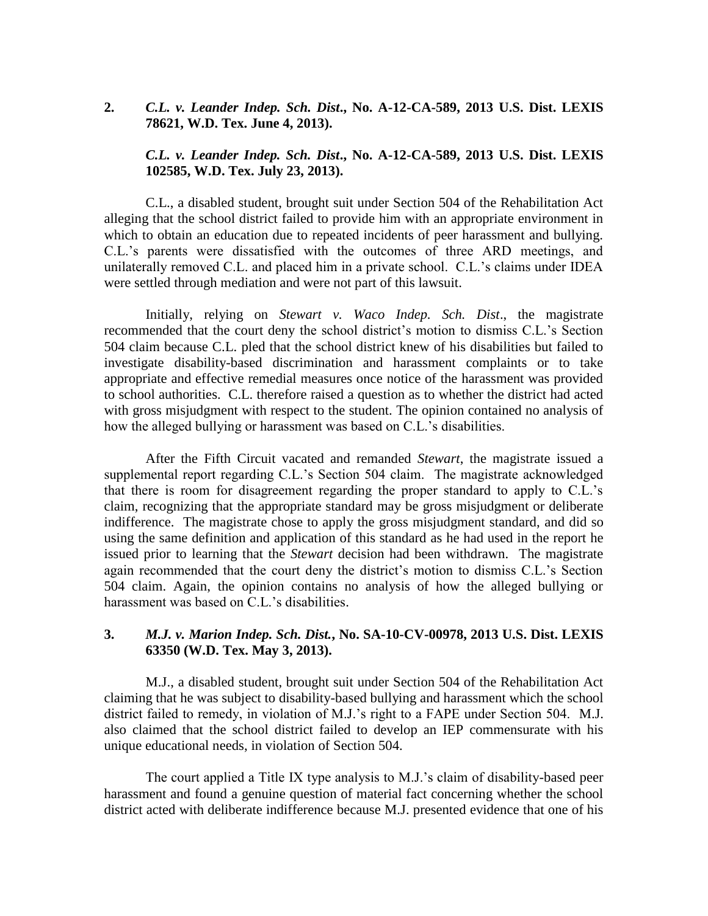### **2.** *C.L. v. Leander Indep. Sch. Dist***., No. A-12-CA-589, 2013 U.S. Dist. LEXIS 78621, W.D. Tex. June 4, 2013).**

### *C.L. v. Leander Indep. Sch. Dist***., No. A-12-CA-589, 2013 U.S. Dist. LEXIS 102585, W.D. Tex. July 23, 2013).**

C.L., a disabled student, brought suit under Section 504 of the Rehabilitation Act alleging that the school district failed to provide him with an appropriate environment in which to obtain an education due to repeated incidents of peer harassment and bullying. C.L.'s parents were dissatisfied with the outcomes of three ARD meetings, and unilaterally removed C.L. and placed him in a private school. C.L.'s claims under IDEA were settled through mediation and were not part of this lawsuit.

Initially, relying on *Stewart v. Waco Indep. Sch. Dist*., the magistrate recommended that the court deny the school district's motion to dismiss C.L.'s Section 504 claim because C.L. pled that the school district knew of his disabilities but failed to investigate disability-based discrimination and harassment complaints or to take appropriate and effective remedial measures once notice of the harassment was provided to school authorities. C.L. therefore raised a question as to whether the district had acted with gross misjudgment with respect to the student. The opinion contained no analysis of how the alleged bullying or harassment was based on C.L.'s disabilities.

After the Fifth Circuit vacated and remanded *Stewart*, the magistrate issued a supplemental report regarding C.L.'s Section 504 claim. The magistrate acknowledged that there is room for disagreement regarding the proper standard to apply to C.L.'s claim, recognizing that the appropriate standard may be gross misjudgment or deliberate indifference. The magistrate chose to apply the gross misjudgment standard, and did so using the same definition and application of this standard as he had used in the report he issued prior to learning that the *Stewart* decision had been withdrawn. The magistrate again recommended that the court deny the district's motion to dismiss C.L.'s Section 504 claim. Again, the opinion contains no analysis of how the alleged bullying or harassment was based on C.L.'s disabilities.

### **3.** *M.J. v. Marion Indep. Sch. Dist.***, No. SA-10-CV-00978, 2013 U.S. Dist. LEXIS 63350 (W.D. Tex. May 3, 2013).**

M.J., a disabled student, brought suit under Section 504 of the Rehabilitation Act claiming that he was subject to disability-based bullying and harassment which the school district failed to remedy, in violation of M.J.'s right to a FAPE under Section 504. M.J. also claimed that the school district failed to develop an IEP commensurate with his unique educational needs, in violation of Section 504.

The court applied a Title IX type analysis to M.J.'s claim of disability-based peer harassment and found a genuine question of material fact concerning whether the school district acted with deliberate indifference because M.J. presented evidence that one of his